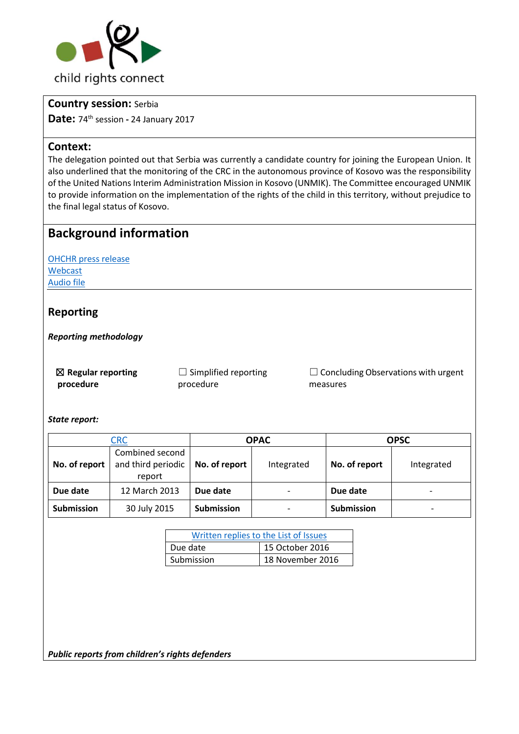

### **Country session:** Serbia

**Date:** 74th session **-** 24 January 2017

### **Context:**

The delegation pointed out that Serbia was currently a candidate country for joining the European Union. It also underlined that the monitoring of the CRC in the autonomous province of Kosovo was the responsibility of the United Nations Interim Administration Mission in Kosovo (UNMIK). The Committee encouraged UNMIK to provide information on the implementation of the rights of the child in this territory, without prejudice to the final legal status of Kosovo.

# **Background information**

[OHCHR press release](http://bit.ly/2lvo7X1) [Webcast](http://bit.ly/2lPTu0V) [Audio file](http://bit.ly/2kPQLB6)

## **Reporting**

*Reporting methodology* 

☒ **Regular reporting procedure**

 $\Box$  Simplified reporting procedure

 $\Box$  Concluding Observations with urgent measures

*State report:* 

| ${\sf CRC}$       |                                                 | <b>OPAC</b>       |                          | <b>OPSC</b>       |                          |
|-------------------|-------------------------------------------------|-------------------|--------------------------|-------------------|--------------------------|
| No. of report     | Combined second<br>and third periodic<br>report | No. of report     | Integrated               | No. of report     | Integrated               |
| Due date          | 12 March 2013                                   | Due date          | $\overline{\phantom{a}}$ | Due date          | $\overline{\phantom{0}}$ |
| <b>Submission</b> | 30 July 2015                                    | <b>Submission</b> | $\overline{\phantom{a}}$ | <b>Submission</b> |                          |

| Written replies to the List of Issues |                  |  |  |  |
|---------------------------------------|------------------|--|--|--|
| Due date                              | 15 October 2016  |  |  |  |
| Submission                            | 18 November 2016 |  |  |  |

*Public reports from children's rights defenders*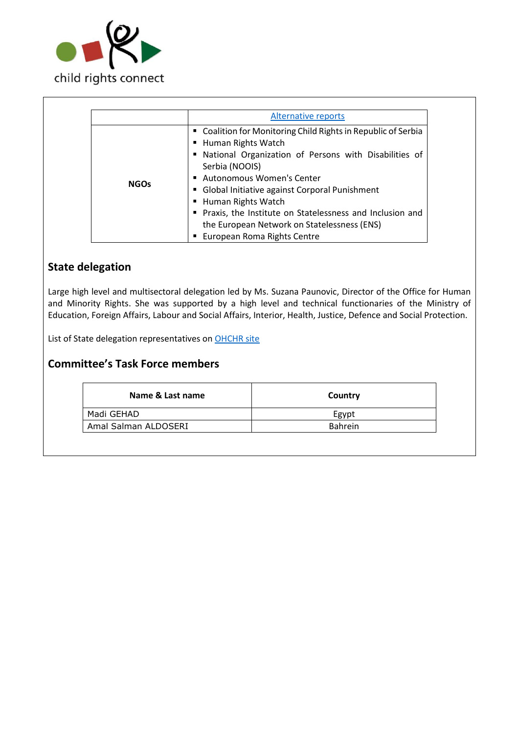

|             | Alternative reports                                                                                                                                                                                                                                                                                                                                                                                                  |
|-------------|----------------------------------------------------------------------------------------------------------------------------------------------------------------------------------------------------------------------------------------------------------------------------------------------------------------------------------------------------------------------------------------------------------------------|
| <b>NGOs</b> | " Coalition for Monitoring Child Rights in Republic of Serbia<br>■ Human Rights Watch<br>• National Organization of Persons with Disabilities of<br>Serbia (NOOIS)<br>Autonomous Women's Center<br>• Global Initiative against Corporal Punishment<br>■ Human Rights Watch<br>Praxis, the Institute on Statelessness and Inclusion and<br>the European Network on Statelessness (ENS)<br>European Roma Rights Centre |

# **State delegation**

Large high level and multisectoral delegation led by Ms. Suzana Paunovic, Director of the Office for Human and Minority Rights. She was supported by a high level and technical functionaries of the Ministry of Education, Foreign Affairs, Labour and Social Affairs, Interior, Health, Justice, Defence and Social Protection.

List of State delegation representatives o[n OHCHR site](http://bit.ly/2mHC1FB) 

## **Committee's Task Force members**

| Name & Last name     | Country        |
|----------------------|----------------|
| Madi GEHAD           | Egypt          |
| Amal Salman ALDOSERI | <b>Bahrein</b> |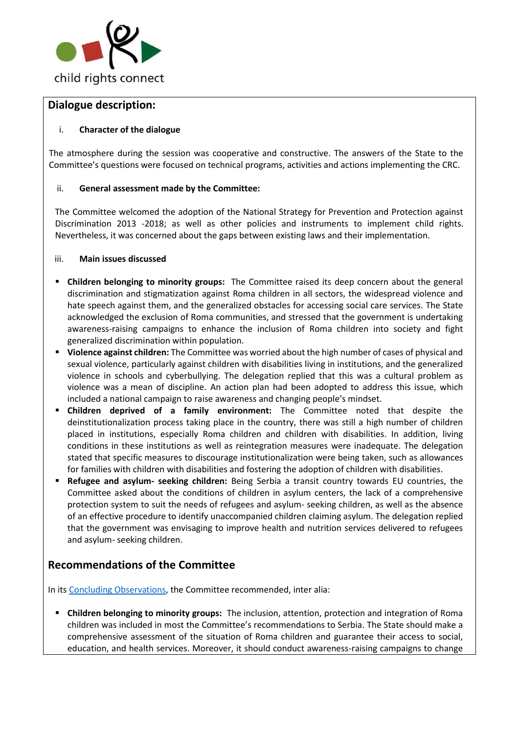

## **Dialogue description:**

### i. **Character of the dialogue**

The atmosphere during the session was cooperative and constructive. The answers of the State to the Committee's questions were focused on technical programs, activities and actions implementing the CRC.

#### ii. **General assessment made by the Committee:**

The Committee welcomed the adoption of the National Strategy for Prevention and Protection against Discrimination 2013 -2018; as well as other policies and instruments to implement child rights. Nevertheless, it was concerned about the gaps between existing laws and their implementation.

#### iii. **Main issues discussed**

- **Children belonging to minority groups:** The Committee raised its deep concern about the general discrimination and stigmatization against Roma children in all sectors, the widespread violence and hate speech against them, and the generalized obstacles for accessing social care services. The State acknowledged the exclusion of Roma communities, and stressed that the government is undertaking awareness-raising campaigns to enhance the inclusion of Roma children into society and fight generalized discrimination within population.
- **Violence against children:** The Committee was worried about the high number of cases of physical and sexual violence, particularly against children with disabilities living in institutions, and the generalized violence in schools and cyberbullying. The delegation replied that this was a cultural problem as violence was a mean of discipline. An action plan had been adopted to address this issue, which included a national campaign to raise awareness and changing people's mindset.
- **Children deprived of a family environment:** The Committee noted that despite the deinstitutionalization process taking place in the country, there was still a high number of children placed in institutions, especially Roma children and children with disabilities. In addition, living conditions in these institutions as well as reintegration measures were inadequate. The delegation stated that specific measures to discourage institutionalization were being taken, such as allowances for families with children with disabilities and fostering the adoption of children with disabilities.
- **Refugee and asylum- seeking children:** Being Serbia a transit country towards EU countries, the Committee asked about the conditions of children in asylum centers, the lack of a comprehensive protection system to suit the needs of refugees and asylum- seeking children, as well as the absence of an effective procedure to identify unaccompanied children claiming asylum. The delegation replied that the government was envisaging to improve health and nutrition services delivered to refugees and asylum- seeking children.

## **Recommendations of the Committee**

In its [Concluding Observations,](http://bit.ly/2lvov78) the Committee recommended, inter alia:

 **Children belonging to minority groups:** The inclusion, attention, protection and integration of Roma children was included in most the Committee's recommendations to Serbia. The State should make a comprehensive assessment of the situation of Roma children and guarantee their access to social, education, and health services. Moreover, it should conduct awareness-raising campaigns to change